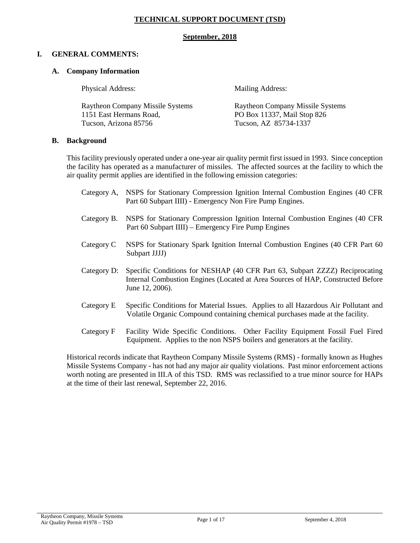## **TECHNICAL SUPPORT DOCUMENT (TSD)**

#### **September, 2018**

#### **I. GENERAL COMMENTS:**

#### **A. Company Information**

Physical Address: Mailing Address:

1151 East Hermans Road, PO Box 11337, Mail Stop 826 Tucson, Arizona 85756 Tucson, AZ 85734-1337

Raytheon Company Missile Systems Raytheon Company Missile Systems

#### **B. Background**

This facility previously operated under a one-year air quality permit first issued in 1993. Since conception the facility has operated as a manufacturer of missiles. The affected sources at the facility to which the air quality permit applies are identified in the following emission categories:

| Category A, | NSPS for Stationary Compression Ignition Internal Combustion Engines (40 CFR)<br>Part 60 Subpart IIII) - Emergency Non Fire Pump Engines.                                         |
|-------------|-----------------------------------------------------------------------------------------------------------------------------------------------------------------------------------|
| Category B. | NSPS for Stationary Compression Ignition Internal Combustion Engines (40 CFR)<br>Part 60 Subpart IIII) – Emergency Fire Pump Engines                                              |
| Category C  | NSPS for Stationary Spark Ignition Internal Combustion Engines (40 CFR Part 60)<br>Subpart JJJJ)                                                                                  |
| Category D: | Specific Conditions for NESHAP (40 CFR Part 63, Subpart ZZZZ) Reciprocating<br>Internal Combustion Engines (Located at Area Sources of HAP, Constructed Before<br>June 12, 2006). |
| Category E  | Specific Conditions for Material Issues. Applies to all Hazardous Air Pollutant and<br>Volatile Organic Compound containing chemical purchases made at the facility.              |
| Category F  | <b>Eacility Wide Specific Conditions</b><br>Other Facility Fourinment Fossil Fuel Fired                                                                                           |

Category F Facility Wide Specific Conditions. Other Facility Equipment Fossil Fuel Fired Equipment. Applies to the non NSPS boilers and generators at the facility.

Historical records indicate that Raytheon Company Missile Systems (RMS) - formally known as Hughes Missile Systems Company - has not had any major air quality violations. Past minor enforcement actions worth noting are presented in III.A of this TSD. RMS was reclassified to a true minor source for HAPs at the time of their last renewal, September 22, 2016.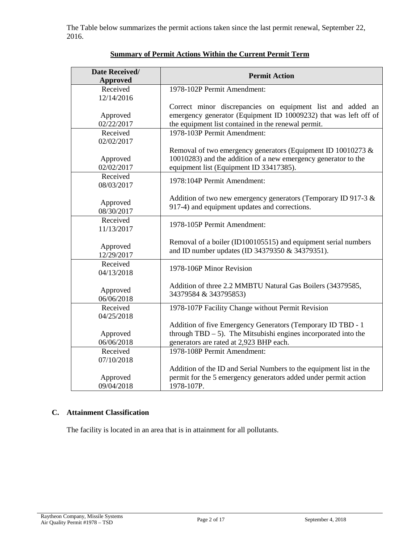The Table below summarizes the permit actions taken since the last permit renewal, September 22, 2016.

| Date Received/<br><b>Approved</b> | <b>Permit Action</b>                                                                                                                                                                  |  |
|-----------------------------------|---------------------------------------------------------------------------------------------------------------------------------------------------------------------------------------|--|
| Received<br>12/14/2016            | 1978-102P Permit Amendment:                                                                                                                                                           |  |
| Approved<br>02/22/2017            | Correct minor discrepancies on equipment list and added an<br>emergency generator (Equipment ID 10009232) that was left off of<br>the equipment list contained in the renewal permit. |  |
| Received<br>02/02/2017            | 1978-103P Permit Amendment:                                                                                                                                                           |  |
| Approved<br>02/02/2017            | Removal of two emergency generators (Equipment ID 10010273 &<br>10010283) and the addition of a new emergency generator to the<br>equipment list (Equipment ID 33417385).             |  |
| Received<br>08/03/2017            | 1978:104P Permit Amendment:                                                                                                                                                           |  |
| Approved<br>08/30/2017            | Addition of two new emergency generators (Temporary ID 917-3 &<br>917-4) and equipment updates and corrections.                                                                       |  |
| Received<br>11/13/2017            | 1978-105P Permit Amendment:                                                                                                                                                           |  |
| Approved<br>12/29/2017            | Removal of a boiler (ID100105515) and equipment serial numbers<br>and ID number updates (ID 34379350 & 34379351).                                                                     |  |
| Received<br>04/13/2018            | 1978-106P Minor Revision                                                                                                                                                              |  |
| Approved<br>06/06/2018            | Addition of three 2.2 MMBTU Natural Gas Boilers (34379585,<br>34379584 & 343795853)                                                                                                   |  |
| Received<br>04/25/2018            | 1978-107P Facility Change without Permit Revision                                                                                                                                     |  |
| Approved<br>06/06/2018            | Addition of five Emergency Generators (Temporary ID TBD - 1<br>through $TBD - 5$ ). The Mitsubishi engines incorporated into the<br>generators are rated at 2,923 BHP each.           |  |
| Received<br>07/10/2018            | 1978-108P Permit Amendment:                                                                                                                                                           |  |
| Approved<br>09/04/2018            | Addition of the ID and Serial Numbers to the equipment list in the<br>permit for the 5 emergency generators added under permit action<br>1978-107P.                                   |  |

# **Summary of Permit Actions Within the Current Permit Term**

# **C. Attainment Classification**

The facility is located in an area that is in attainment for all pollutants.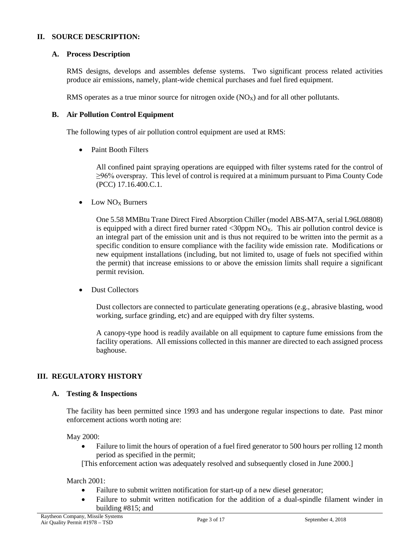### **II. SOURCE DESCRIPTION:**

## **A. Process Description**

RMS designs, develops and assembles defense systems. Two significant process related activities produce air emissions, namely, plant-wide chemical purchases and fuel fired equipment.

RMS operates as a true minor source for nitrogen oxide  $(NO<sub>X</sub>)$  and for all other pollutants.

#### **B. Air Pollution Control Equipment**

The following types of air pollution control equipment are used at RMS:

• Paint Booth Filters

All confined paint spraying operations are equipped with filter systems rated for the control of ≥96% overspray. This level of control is required at a minimum pursuant to Pima County Code (PCC) 17.16.400.C.1.

 $\bullet$  Low NO<sub>X</sub> Burners

One 5.58 MMBtu Trane Direct Fired Absorption Chiller (model ABS-M7A, serial L96L08808) is equipped with a direct fired burner rated  $\langle 30ppm NO_X$ . This air pollution control device is an integral part of the emission unit and is thus not required to be written into the permit as a specific condition to ensure compliance with the facility wide emission rate. Modifications or new equipment installations (including, but not limited to, usage of fuels not specified within the permit) that increase emissions to or above the emission limits shall require a significant permit revision.

• Dust Collectors

Dust collectors are connected to particulate generating operations (e.g., abrasive blasting, wood working, surface grinding, etc) and are equipped with dry filter systems.

A canopy-type hood is readily available on all equipment to capture fume emissions from the facility operations. All emissions collected in this manner are directed to each assigned process baghouse.

## **III. REGULATORY HISTORY**

## **A. Testing & Inspections**

The facility has been permitted since 1993 and has undergone regular inspections to date. Past minor enforcement actions worth noting are:

May 2000:

• Failure to limit the hours of operation of a fuel fired generator to 500 hours per rolling 12 month period as specified in the permit;

[This enforcement action was adequately resolved and subsequently closed in June 2000.]

#### March 2001:

- Failure to submit written notification for start-up of a new diesel generator;
- Failure to submit written notification for the addition of a dual-spindle filament winder in building #815; and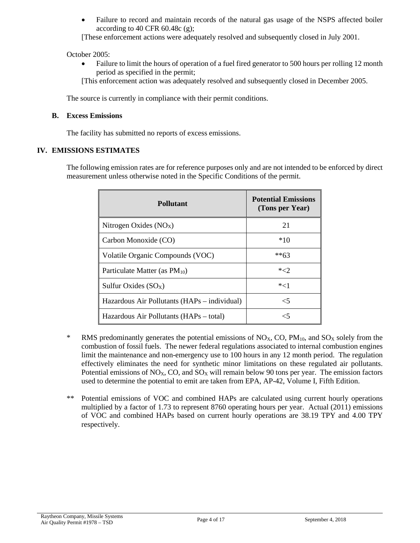• Failure to record and maintain records of the natural gas usage of the NSPS affected boiler according to 40 CFR  $60.48c$  (g);

[These enforcement actions were adequately resolved and subsequently closed in July 2001.

October 2005:

• Failure to limit the hours of operation of a fuel fired generator to 500 hours per rolling 12 month period as specified in the permit;

[This enforcement action was adequately resolved and subsequently closed in December 2005.

The source is currently in compliance with their permit conditions.

#### **B. Excess Emissions**

The facility has submitted no reports of excess emissions.

#### **IV. EMISSIONS ESTIMATES**

The following emission rates are for reference purposes only and are not intended to be enforced by direct measurement unless otherwise noted in the Specific Conditions of the permit.

| Pollutant                                    | <b>Potential Emissions</b><br>(Tons per Year) |
|----------------------------------------------|-----------------------------------------------|
| Nitrogen Oxides $(NOX)$                      | 21                                            |
| Carbon Monoxide (CO)                         | *10                                           |
| Volatile Organic Compounds (VOC)             | **63                                          |
| Particulate Matter (as $PM_{10}$ )           | $*2$                                          |
| Sulfur Oxides $(SO_X)$                       | $*<1$                                         |
| Hazardous Air Pollutants (HAPs – individual) | $\leq 5$                                      |
| Hazardous Air Pollutants (HAPs – total)      |                                               |

- <sup>\*</sup> RMS predominantly generates the potential emissions of  $NO<sub>X</sub>$ , CO,  $PM<sub>10</sub>$ , and  $SO<sub>X</sub>$  solely from the combustion of fossil fuels. The newer federal regulations associated to internal combustion engines limit the maintenance and non-emergency use to 100 hours in any 12 month period. The regulation effectively eliminates the need for synthetic minor limitations on these regulated air pollutants. Potential emissions of  $NO<sub>X</sub>$ , CO, and  $SO<sub>X</sub>$  will remain below 90 tons per year. The emission factors used to determine the potential to emit are taken from EPA, AP-42, Volume I, Fifth Edition.
- \*\* Potential emissions of VOC and combined HAPs are calculated using current hourly operations multiplied by a factor of 1.73 to represent 8760 operating hours per year. Actual (2011) emissions of VOC and combined HAPs based on current hourly operations are 38.19 TPY and 4.00 TPY respectively.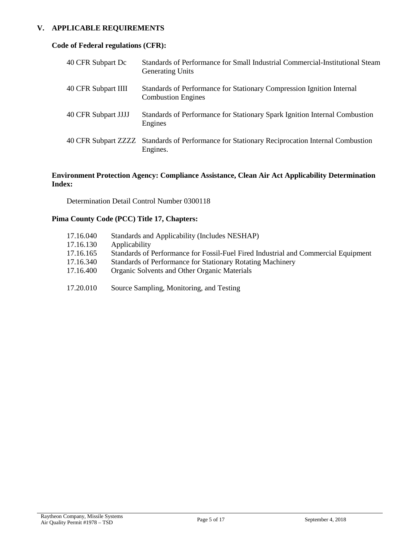## **V. APPLICABLE REQUIREMENTS**

## **Code of Federal regulations (CFR):**

| 40 CFR Subpart Dc   | Standards of Performance for Small Industrial Commercial-Institutional Steam<br><b>Generating Units</b>   |
|---------------------|-----------------------------------------------------------------------------------------------------------|
| 40 CFR Subpart IIII | Standards of Performance for Stationary Compression Ignition Internal<br><b>Combustion Engines</b>        |
| 40 CFR Subpart JJJJ | Standards of Performance for Stationary Spark Ignition Internal Combustion<br>Engines                     |
|                     | 40 CFR Subpart ZZZZ Standards of Performance for Stationary Reciprocation Internal Combustion<br>Engines. |

## **Environment Protection Agency: Compliance Assistance, Clean Air Act Applicability Determination Index:**

Determination Detail Control Number 0300118

## **Pima County Code (PCC) Title 17, Chapters:**

| 17.16.040 | Standards and Applicability (Includes NESHAP)                                      |
|-----------|------------------------------------------------------------------------------------|
| 17.16.130 | Applicability                                                                      |
| 17.16.165 | Standards of Performance for Fossil-Fuel Fired Industrial and Commercial Equipment |
| 17.16.340 | Standards of Performance for Stationary Rotating Machinery                         |
| 17.16.400 | Organic Solvents and Other Organic Materials                                       |
| 17.20.010 | Source Sampling, Monitoring, and Testing                                           |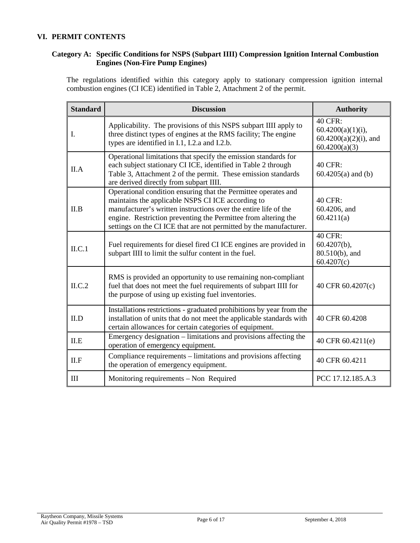### **VI. PERMIT CONTENTS**

## **Category A: Specific Conditions for NSPS (Subpart IIII) Compression Ignition Internal Combustion Engines (Non-Fire Pump Engines)**

The regulations identified within this category apply to stationary compression ignition internal combustion engines (CI ICE) identified in Table 2, Attachment 2 of the permit.

| <b>Standard</b> | <b>Discussion</b>                                                                                                                                                                                                                                                                                                              | <b>Authority</b>                                                                    |
|-----------------|--------------------------------------------------------------------------------------------------------------------------------------------------------------------------------------------------------------------------------------------------------------------------------------------------------------------------------|-------------------------------------------------------------------------------------|
| I.              | Applicability. The provisions of this NSPS subpart IIII apply to<br>three distinct types of engines at the RMS facility; The engine<br>types are identified in I.1, I.2.a and I.2.b.                                                                                                                                           | <b>40 CFR:</b><br>$60.4200(a)(1)(i)$ ,<br>$60.4200(a)(2)(i)$ , and<br>60.4200(a)(3) |
| II.A            | Operational limitations that specify the emission standards for<br>each subject stationary CI ICE, identified in Table 2 through<br>Table 3, Attachment 2 of the permit. These emission standards<br>are derived directly from subpart IIII.                                                                                   | 40 CFR:<br>$60.4205(a)$ and (b)                                                     |
| II.B            | Operational condition ensuring that the Permittee operates and<br>maintains the applicable NSPS CI ICE according to<br>manufacturer's written instructions over the entire life of the<br>engine. Restriction preventing the Permittee from altering the<br>settings on the CI ICE that are not permitted by the manufacturer. | 40 CFR:<br>60.4206, and<br>60.4211(a)                                               |
| ILC.1           | Fuel requirements for diesel fired CI ICE engines are provided in<br>subpart IIII to limit the sulfur content in the fuel.                                                                                                                                                                                                     | 40 CFR:<br>$60.4207(b)$ ,<br>80.510(b), and<br>60.4207(c)                           |
| ILC.2           | RMS is provided an opportunity to use remaining non-compliant<br>fuel that does not meet the fuel requirements of subpart IIII for<br>the purpose of using up existing fuel inventories.                                                                                                                                       | 40 CFR 60.4207(c)                                                                   |
| II.D            | Installations restrictions - graduated prohibitions by year from the<br>installation of units that do not meet the applicable standards with<br>certain allowances for certain categories of equipment.                                                                                                                        | 40 CFR 60.4208                                                                      |
| ILE             | Emergency designation - limitations and provisions affecting the<br>operation of emergency equipment.                                                                                                                                                                                                                          | 40 CFR 60.4211(e)                                                                   |
| II.F            | Compliance requirements - limitations and provisions affecting<br>the operation of emergency equipment.                                                                                                                                                                                                                        | 40 CFR 60.4211                                                                      |
| Ш               | Monitoring requirements – Non Required                                                                                                                                                                                                                                                                                         | PCC 17.12.185.A.3                                                                   |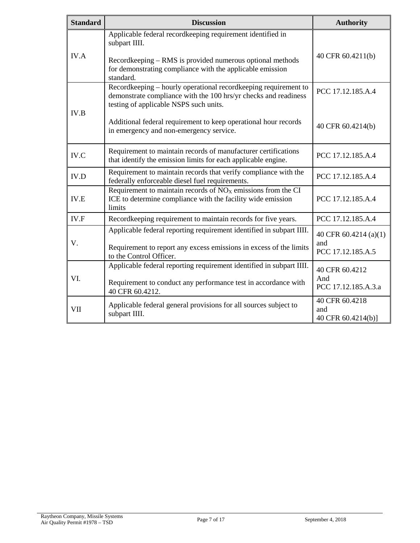| <b>Standard</b> | <b>Discussion</b>                                                                                                                                                                                                  | <b>Authority</b>                                  |
|-----------------|--------------------------------------------------------------------------------------------------------------------------------------------------------------------------------------------------------------------|---------------------------------------------------|
| <b>IV.A</b>     | Applicable federal recordkeeping requirement identified in<br>subpart IIII.<br>Recordkeeping – RMS is provided numerous optional methods<br>for demonstrating compliance with the applicable emission<br>standard. | 40 CFR 60.4211(b)                                 |
| IV.B            | Recordkeeping - hourly operational recordkeeping requirement to<br>demonstrate compliance with the 100 hrs/yr checks and readiness<br>testing of applicable NSPS such units.                                       | PCC 17.12.185.A.4                                 |
|                 | Additional federal requirement to keep operational hour records<br>in emergency and non-emergency service.                                                                                                         | 40 CFR 60.4214(b)                                 |
| IV.C            | Requirement to maintain records of manufacturer certifications<br>that identify the emission limits for each applicable engine.                                                                                    | PCC 17.12.185.A.4                                 |
| IV.D            | Requirement to maintain records that verify compliance with the<br>federally enforceable diesel fuel requirements.                                                                                                 | PCC 17.12.185.A.4                                 |
| <b>IV.E</b>     | Requirement to maintain records of $NOX$ emissions from the CI<br>ICE to determine compliance with the facility wide emission<br>limits                                                                            | PCC 17.12.185.A.4                                 |
| IV.F            | Recordkeeping requirement to maintain records for five years.                                                                                                                                                      | PCC 17.12.185.A.4                                 |
| V.              | Applicable federal reporting requirement identified in subpart IIII.<br>Requirement to report any excess emissions in excess of the limits<br>to the Control Officer.                                              | 40 CFR 60.4214 (a)(1)<br>and<br>PCC 17.12.185.A.5 |
| VI.             | Applicable federal reporting requirement identified in subpart IIII.<br>Requirement to conduct any performance test in accordance with<br>40 CFR 60.4212.                                                          | 40 CFR 60.4212<br>And<br>PCC 17.12.185.A.3.a      |
| VII             | Applicable federal general provisions for all sources subject to<br>subpart IIII.                                                                                                                                  | 40 CFR 60.4218<br>and<br>40 CFR 60.4214(b)]       |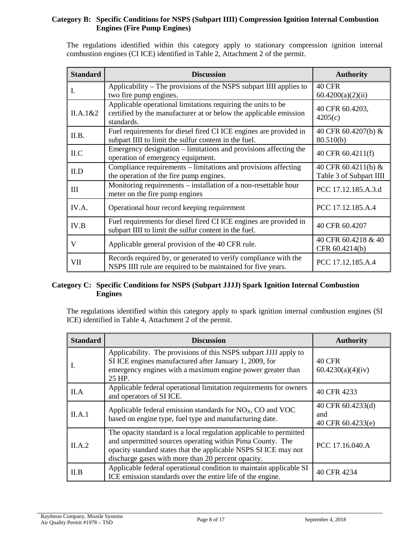## **Category B: Specific Conditions for NSPS (Subpart IIII) Compression Ignition Internal Combustion Engines (Fire Pump Engines)**

The regulations identified within this category apply to stationary compression ignition internal combustion engines (CI ICE) identified in Table 2, Attachment 2 of the permit.

| <b>Standard</b> | <b>Discussion</b>                                                                                                                               | <b>Authority</b>                               |
|-----------------|-------------------------------------------------------------------------------------------------------------------------------------------------|------------------------------------------------|
| L               | Applicability – The provisions of the NSPS subpart IIII applies to<br>two fire pump engines.                                                    | <b>40 CFR</b><br>60.4200(a)(2)(ii)             |
| II.A.1&2        | Applicable operational limitations requiring the units to be<br>certified by the manufacturer at or below the applicable emission<br>standards. | 40 CFR 60.4203,<br>4205(c)                     |
| II.B.           | Fuel requirements for diesel fired CI ICE engines are provided in<br>subpart IIII to limit the sulfur content in the fuel.                      | 40 CFR 60.4207(b) &<br>80.510(b)               |
| ILC             | Emergency designation – limitations and provisions affecting the<br>operation of emergency equipment.                                           | 40 CFR 60.4211(f)                              |
| II.D            | Compliance requirements – limitations and provisions affecting<br>the operation of the fire pump engines.                                       | 40 CFR 60.4211(b) &<br>Table 3 of Subpart IIII |
| III             | Monitoring requirements – installation of a non-resettable hour<br>meter on the fire pump engines                                               | PCC 17.12.185.A.3.d                            |
| IV.A.           | Operational hour record keeping requirement                                                                                                     | PCC 17.12.185.A.4                              |
| IV.B            | Fuel requirements for diesel fired CI ICE engines are provided in<br>subpart IIII to limit the sulfur content in the fuel.                      | 40 CFR 60.4207                                 |
| V               | Applicable general provision of the 40 CFR rule.                                                                                                | 40 CFR 60.4218 & 40<br>CFR 60.4214(b)          |
| VII             | Records required by, or generated to verify compliance with the<br>NSPS IIII rule are required to be maintained for five years.                 | PCC 17.12.185.A.4                              |

#### **Category C: Specific Conditions for NSPS (Subpart JJJJ) Spark Ignition Internal Combustion Engines**

The regulations identified within this category apply to spark ignition internal combustion engines (SI ICE) identified in Table 4, Attachment 2 of the permit.

| <b>Standard</b> | <b>Discussion</b>                                                                                                                                                                                                                                        | <b>Authority</b>                              |
|-----------------|----------------------------------------------------------------------------------------------------------------------------------------------------------------------------------------------------------------------------------------------------------|-----------------------------------------------|
| Ι.              | Applicability. The provisions of this NSPS subpart JJJJ apply to<br>SI ICE engines manufactured after January 1, 2009, for<br>emergency engines with a maximum engine power greater than<br>25 HP.                                                       | 40 CFR<br>60.4230(a)(4)(iv)                   |
| II.A            | Applicable federal operational limitation requirements for owners<br>and operators of SI ICE.                                                                                                                                                            | 40 CFR 4233                                   |
| II.A.1          | Applicable federal emission standards for $NOX$ , CO and VOC<br>based on engine type, fuel type and manufacturing date.                                                                                                                                  | 40 CFR 60.4233(d)<br>and<br>40 CFR 60.4233(e) |
| II.A.2          | The opacity standard is a local regulation applicable to permitted<br>and unpermitted sources operating within Pima County. The<br>opacity standard states that the applicable NSPS SI ICE may not<br>discharge gases with more than 20 percent opacity. | PCC 17.16.040.A                               |
| II.B            | Applicable federal operational condition to maintain applicable SI<br>ICE emission standards over the entire life of the engine.                                                                                                                         | 40 CFR 4234                                   |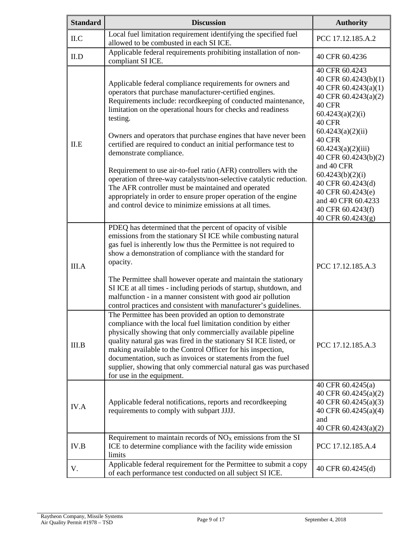| <b>Standard</b> | <b>Discussion</b>                                                                                                                                                                                                                                                                                                                                                                                                                                                                             | <b>Authority</b>                                                                                                                                    |
|-----------------|-----------------------------------------------------------------------------------------------------------------------------------------------------------------------------------------------------------------------------------------------------------------------------------------------------------------------------------------------------------------------------------------------------------------------------------------------------------------------------------------------|-----------------------------------------------------------------------------------------------------------------------------------------------------|
| ILC             | Local fuel limitation requirement identifying the specified fuel<br>allowed to be combusted in each SI ICE.                                                                                                                                                                                                                                                                                                                                                                                   | PCC 17.12.185.A.2                                                                                                                                   |
| II.D            | Applicable federal requirements prohibiting installation of non-<br>compliant SI ICE.                                                                                                                                                                                                                                                                                                                                                                                                         | 40 CFR 60.4236                                                                                                                                      |
|                 | Applicable federal compliance requirements for owners and<br>operators that purchase manufacturer-certified engines.<br>Requirements include: recordkeeping of conducted maintenance,<br>limitation on the operational hours for checks and readiness<br>testing.                                                                                                                                                                                                                             | 40 CFR 60.4243<br>40 CFR 60.4243(b)(1)<br>40 CFR 60.4243(a)(1)<br>40 CFR 60.4243(a)(2)<br>40 CFR<br>60.4243(a)(2)(i)<br>40 CFR<br>60.4243(a)(2)(ii) |
| ILE             | Owners and operators that purchase engines that have never been<br>certified are required to conduct an initial performance test to<br>demonstrate compliance.                                                                                                                                                                                                                                                                                                                                | 40 CFR<br>60.4243(a)(2)(iii)<br>40 CFR 60.4243(b)(2)                                                                                                |
|                 | Requirement to use air-to-fuel ratio (AFR) controllers with the<br>operation of three-way catalysts/non-selective catalytic reduction.<br>The AFR controller must be maintained and operated<br>appropriately in order to ensure proper operation of the engine<br>and control device to minimize emissions at all times.                                                                                                                                                                     | and 40 CFR<br>60.4243(b)(2)(i)<br>40 CFR 60.4243(d)<br>40 CFR 60.4243(e)<br>and 40 CFR 60.4233<br>40 CFR 60.4243(f)<br>40 CFR 60.4243(g)            |
| III.A           | PDEQ has determined that the percent of opacity of visible<br>emissions from the stationary SI ICE while combusting natural<br>gas fuel is inherently low thus the Permittee is not required to<br>show a demonstration of compliance with the standard for<br>opacity.                                                                                                                                                                                                                       | PCC 17.12.185.A.3                                                                                                                                   |
|                 | The Permittee shall however operate and maintain the stationary<br>SI ICE at all times - including periods of startup, shutdown, and<br>malfunction - in a manner consistent with good air pollution<br>control practices and consistent with manufacturer's guidelines.                                                                                                                                                                                                                      |                                                                                                                                                     |
| III.B           | The Permittee has been provided an option to demonstrate<br>compliance with the local fuel limitation condition by either<br>physically showing that only commercially available pipeline<br>quality natural gas was fired in the stationary SI ICE listed, or<br>making available to the Control Officer for his inspection,<br>documentation, such as invoices or statements from the fuel<br>supplier, showing that only commercial natural gas was purchased<br>for use in the equipment. | PCC 17.12.185.A.3                                                                                                                                   |
| IV.A            | Applicable federal notifications, reports and recordkeeping<br>requirements to comply with subpart JJJJ.                                                                                                                                                                                                                                                                                                                                                                                      | 40 CFR 60.4245(a)<br>40 CFR 60.4245(a)(2)<br>40 CFR 60.4245(a)(3)<br>40 CFR 60.4245(a)(4)<br>and<br>40 CFR 60.4243(a)(2)                            |
| IV.B            | Requirement to maintain records of NO <sub>x</sub> emissions from the SI<br>ICE to determine compliance with the facility wide emission<br>limits                                                                                                                                                                                                                                                                                                                                             | PCC 17.12.185.A.4                                                                                                                                   |
| V.              | Applicable federal requirement for the Permittee to submit a copy<br>of each performance test conducted on all subject SI ICE.                                                                                                                                                                                                                                                                                                                                                                | 40 CFR 60.4245(d)                                                                                                                                   |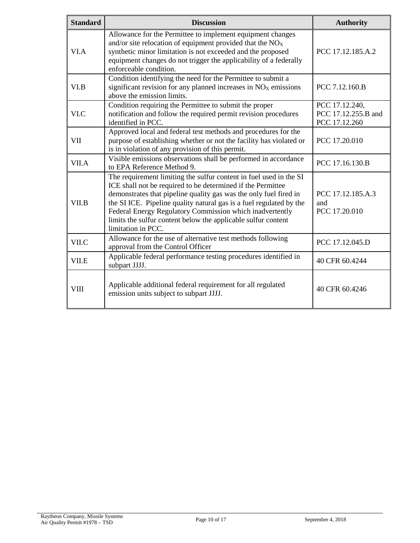| <b>Standard</b> | <b>Discussion</b>                                                                                                                                                                                                                                                                                                                                                                                                                | <b>Authority</b>                                       |
|-----------------|----------------------------------------------------------------------------------------------------------------------------------------------------------------------------------------------------------------------------------------------------------------------------------------------------------------------------------------------------------------------------------------------------------------------------------|--------------------------------------------------------|
| VI.A            | Allowance for the Permittee to implement equipment changes<br>and/or site relocation of equipment provided that the $NOx$<br>synthetic minor limitation is not exceeded and the proposed<br>equipment changes do not trigger the applicability of a federally<br>enforceable condition.                                                                                                                                          | PCC 17.12.185.A.2                                      |
| VI.B            | Condition identifying the need for the Permittee to submit a<br>significant revision for any planned increases in NO <sub>x</sub> emissions<br>above the emission limits.                                                                                                                                                                                                                                                        | PCC 7.12.160.B                                         |
| VI.C            | Condition requiring the Permittee to submit the proper<br>notification and follow the required permit revision procedures<br>identified in PCC.                                                                                                                                                                                                                                                                                  | PCC 17.12.240,<br>PCC 17.12.255.B and<br>PCC 17.12.260 |
| <b>VII</b>      | Approved local and federal test methods and procedures for the<br>purpose of establishing whether or not the facility has violated or<br>is in violation of any provision of this permit.                                                                                                                                                                                                                                        | PCC 17.20.010                                          |
| VII.A           | Visible emissions observations shall be performed in accordance<br>to EPA Reference Method 9.                                                                                                                                                                                                                                                                                                                                    | PCC 17.16.130.B                                        |
| VII.B           | The requirement limiting the sulfur content in fuel used in the SI<br>ICE shall not be required to be determined if the Permittee<br>demonstrates that pipeline quality gas was the only fuel fired in<br>the SI ICE. Pipeline quality natural gas is a fuel regulated by the<br>Federal Energy Regulatory Commission which inadvertently<br>limits the sulfur content below the applicable sulfur content<br>limitation in PCC. | PCC 17.12.185.A.3<br>and<br>PCC 17.20.010              |
| VII.C           | Allowance for the use of alternative test methods following<br>approval from the Control Officer                                                                                                                                                                                                                                                                                                                                 | PCC 17.12.045.D                                        |
| VII.E           | Applicable federal performance testing procedures identified in<br>subpart JJJJ.                                                                                                                                                                                                                                                                                                                                                 | 40 CFR 60.4244                                         |
| <b>VIII</b>     | Applicable additional federal requirement for all regulated<br>emission units subject to subpart JJJJ.                                                                                                                                                                                                                                                                                                                           | 40 CFR 60.4246                                         |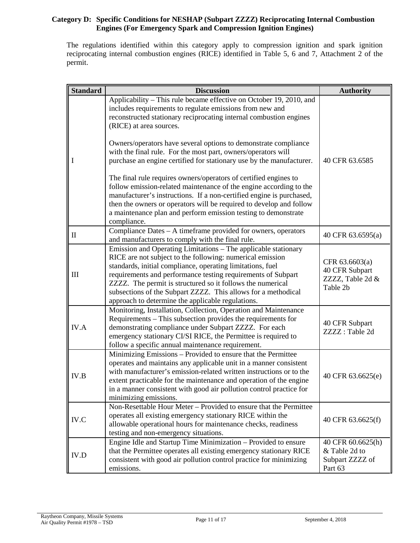### **Category D: Specific Conditions for NESHAP (Subpart ZZZZ) Reciprocating Internal Combustion Engines (For Emergency Spark and Compression Ignition Engines)**

The regulations identified within this category apply to compression ignition and spark ignition reciprocating internal combustion engines (RICE) identified in Table 5, 6 and 7, Attachment 2 of the permit.

| <b>Standard</b> | <b>Discussion</b>                                                                                                                                                                                                                                                                                                                                                                                                                             | <b>Authority</b>                                                 |
|-----------------|-----------------------------------------------------------------------------------------------------------------------------------------------------------------------------------------------------------------------------------------------------------------------------------------------------------------------------------------------------------------------------------------------------------------------------------------------|------------------------------------------------------------------|
| 1               | Applicability – This rule became effective on October 19, 2010, and<br>includes requirements to regulate emissions from new and<br>reconstructed stationary reciprocating internal combustion engines<br>(RICE) at area sources.                                                                                                                                                                                                              |                                                                  |
|                 | Owners/operators have several options to demonstrate compliance<br>with the final rule. For the most part, owners/operators will<br>purchase an engine certified for stationary use by the manufacturer.                                                                                                                                                                                                                                      | 40 CFR 63.6585                                                   |
|                 | The final rule requires owners/operators of certified engines to<br>follow emission-related maintenance of the engine according to the<br>manufacturer's instructions. If a non-certified engine is purchased,<br>then the owners or operators will be required to develop and follow<br>a maintenance plan and perform emission testing to demonstrate<br>compliance.                                                                        |                                                                  |
| П               | Compliance Dates - A timeframe provided for owners, operators<br>and manufacturers to comply with the final rule.                                                                                                                                                                                                                                                                                                                             | 40 CFR 63.6595(a)                                                |
| III             | Emission and Operating Limitations – The applicable stationary<br>RICE are not subject to the following: numerical emission<br>standards, initial compliance, operating limitations, fuel<br>requirements and performance testing requirements of Subpart<br>ZZZZ. The permit is structured so it follows the numerical<br>subsections of the Subpart ZZZZ. This allows for a methodical<br>approach to determine the applicable regulations. | CFR 63.6603(a)<br>40 CFR Subpart<br>ZZZZ, Table 2d &<br>Table 2b |
| IV.A            | Monitoring, Installation, Collection, Operation and Maintenance<br>Requirements – This subsection provides the requirements for<br>demonstrating compliance under Subpart ZZZZ. For each<br>emergency stationary CI/SI RICE, the Permittee is required to<br>follow a specific annual maintenance requirement.                                                                                                                                | 40 CFR Subpart<br>ZZZZ: Table 2d                                 |
| IV.B            | Minimizing Emissions - Provided to ensure that the Permittee<br>operates and maintains any applicable unit in a manner consistent<br>with manufacturer's emission-related written instructions or to the<br>extent practicable for the maintenance and operation of the engine<br>in a manner consistent with good air pollution control practice for<br>minimizing emissions.                                                                | 40 CFR 63.6625(e)                                                |
| IV.C            | Non-Resettable Hour Meter – Provided to ensure that the Permittee<br>operates all existing emergency stationary RICE within the<br>allowable operational hours for maintenance checks, readiness<br>testing and non-emergency situations.                                                                                                                                                                                                     | 40 CFR 63.6625(f)                                                |
| <b>IV.D</b>     | Engine Idle and Startup Time Minimization - Provided to ensure<br>that the Permittee operates all existing emergency stationary RICE<br>consistent with good air pollution control practice for minimizing<br>emissions.                                                                                                                                                                                                                      | 40 CFR 60.6625(h)<br>& Table 2d to<br>Subpart ZZZZ of<br>Part 63 |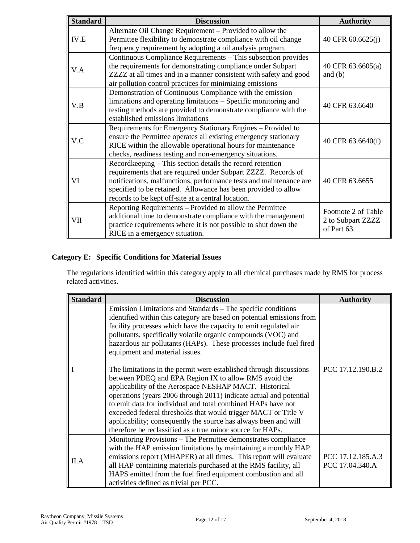| <b>Standard</b> | <b>Discussion</b>                                                                                                                                                                                                                                                                                                        | <b>Authority</b>                                        |
|-----------------|--------------------------------------------------------------------------------------------------------------------------------------------------------------------------------------------------------------------------------------------------------------------------------------------------------------------------|---------------------------------------------------------|
| IV.E            | Alternate Oil Change Requirement - Provided to allow the<br>Permittee flexibility to demonstrate compliance with oil change<br>frequency requirement by adopting a oil analysis program.                                                                                                                                 | 40 CFR 60.6625(j)                                       |
| V.A             | Continuous Compliance Requirements - This subsection provides<br>the requirements for demonstrating compliance under Subpart<br>ZZZZ at all times and in a manner consistent with safety and good<br>air pollution control practices for minimizing emissions                                                            | 40 CFR 63.6605(a)<br>and $(b)$                          |
| V.B             | Demonstration of Continuous Compliance with the emission<br>limitations and operating limitations – Specific monitoring and<br>testing methods are provided to demonstrate compliance with the<br>established emissions limitations                                                                                      | 40 CFR 63.6640                                          |
| V.C             | Requirements for Emergency Stationary Engines - Provided to<br>ensure the Permittee operates all existing emergency stationary<br>RICE within the allowable operational hours for maintenance<br>checks, readiness testing and non-emergency situations.                                                                 | 40 CFR 63.6640(f)                                       |
| VI              | Recordkeeping – This section details the record retention<br>requirements that are required under Subpart ZZZZ. Records of<br>notifications, malfunctions, performance tests and maintenance are<br>specified to be retained. Allowance has been provided to allow<br>records to be kept off-site at a central location. | 40 CFR 63.6655                                          |
| VII             | Reporting Requirements – Provided to allow the Permittee<br>additional time to demonstrate compliance with the management<br>practice requirements where it is not possible to shut down the<br>RICE in a emergency situation.                                                                                           | Footnote 2 of Table<br>2 to Subpart ZZZZ<br>of Part 63. |

## **Category E: Specific Conditions for Material Issues**

The regulations identified within this category apply to all chemical purchases made by RMS for process related activities.

| <b>Standard</b> | <b>Discussion</b>                                                                                                                                                                                                                                                                                                                                                                                                                                                                                                                                                                                                                                                                                                                                                                                                                                                                                                     | <b>Authority</b>                     |
|-----------------|-----------------------------------------------------------------------------------------------------------------------------------------------------------------------------------------------------------------------------------------------------------------------------------------------------------------------------------------------------------------------------------------------------------------------------------------------------------------------------------------------------------------------------------------------------------------------------------------------------------------------------------------------------------------------------------------------------------------------------------------------------------------------------------------------------------------------------------------------------------------------------------------------------------------------|--------------------------------------|
|                 | Emission Limitations and Standards – The specific conditions<br>identified within this category are based on potential emissions from<br>facility processes which have the capacity to emit regulated air<br>pollutants, specifically volatile organic compounds (VOC) and<br>hazardous air pollutants (HAPs). These processes include fuel fired<br>equipment and material issues.<br>The limitations in the permit were established through discussions<br>between PDEQ and EPA Region IX to allow RMS avoid the<br>applicability of the Aerospace NESHAP MACT. Historical<br>operations (years 2006 through 2011) indicate actual and potential<br>to emit data for individual and total combined HAPs have not<br>exceeded federal thresholds that would trigger MACT or Title V<br>applicability; consequently the source has always been and will<br>therefore be reclassified as a true minor source for HAPs. | PCC 17.12.190.B.2                    |
| II.A            | Monitoring Provisions – The Permittee demonstrates compliance<br>with the HAP emission limitations by maintaining a monthly HAP<br>emissions report (MHAPER) at all times. This report will evaluate<br>all HAP containing materials purchased at the RMS facility, all<br>HAPS emitted from the fuel fired equipment combustion and all<br>activities defined as trivial per PCC.                                                                                                                                                                                                                                                                                                                                                                                                                                                                                                                                    | PCC 17.12.185.A.3<br>PCC 17.04.340.A |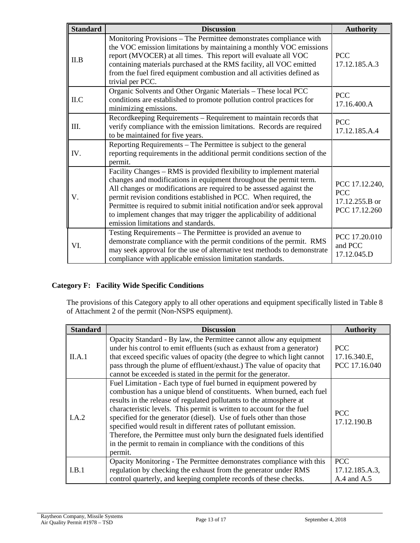| <b>Standard</b> | <b>Discussion</b>                                                                                                                                                                                                                                                                                                                                                                                                                                                                    | <b>Authority</b>                                                |
|-----------------|--------------------------------------------------------------------------------------------------------------------------------------------------------------------------------------------------------------------------------------------------------------------------------------------------------------------------------------------------------------------------------------------------------------------------------------------------------------------------------------|-----------------------------------------------------------------|
| II.B            | Monitoring Provisions - The Permittee demonstrates compliance with<br>the VOC emission limitations by maintaining a monthly VOC emissions<br>report (MVOCER) at all times. This report will evaluate all VOC<br>containing materials purchased at the RMS facility, all VOC emitted<br>from the fuel fired equipment combustion and all activities defined as<br>trivial per PCC.                                                                                                    | <b>PCC</b><br>17.12.185.A.3                                     |
| ILC             | Organic Solvents and Other Organic Materials - These local PCC<br>conditions are established to promote pollution control practices for<br>minimizing emissions.                                                                                                                                                                                                                                                                                                                     | <b>PCC</b><br>17.16.400.A                                       |
| Ш.              | Recordkeeping Requirements - Requirement to maintain records that<br>verify compliance with the emission limitations. Records are required<br>to be maintained for five years.                                                                                                                                                                                                                                                                                                       | <b>PCC</b><br>17.12.185.A.4                                     |
| IV.             | Reporting Requirements – The Permittee is subject to the general<br>reporting requirements in the additional permit conditions section of the<br>permit.                                                                                                                                                                                                                                                                                                                             |                                                                 |
| V.              | Facility Changes - RMS is provided flexibility to implement material<br>changes and modifications in equipment throughout the permit term.<br>All changes or modifications are required to be assessed against the<br>permit revision conditions established in PCC. When required, the<br>Permittee is required to submit initial notification and/or seek approval<br>to implement changes that may trigger the applicability of additional<br>emission limitations and standards. | PCC 17.12.240,<br><b>PCC</b><br>17.12.255.B or<br>PCC 17.12.260 |
| VI.             | Testing Requirements - The Permittee is provided an avenue to<br>demonstrate compliance with the permit conditions of the permit. RMS<br>may seek approval for the use of alternative test methods to demonstrate<br>compliance with applicable emission limitation standards.                                                                                                                                                                                                       | PCC 17.20.010<br>and PCC<br>17.12.045.D                         |

## **Category F: Facility Wide Specific Conditions**

The provisions of this Category apply to all other operations and equipment specifically listed in Table 8 of Attachment 2 of the permit (Non-NSPS equipment).

| <b>Standard</b> | <b>Discussion</b>                                                                                                                                                                                                                                                                                                                                                                                                                                                                                                                                                                                 | <b>Authority</b>                                |
|-----------------|---------------------------------------------------------------------------------------------------------------------------------------------------------------------------------------------------------------------------------------------------------------------------------------------------------------------------------------------------------------------------------------------------------------------------------------------------------------------------------------------------------------------------------------------------------------------------------------------------|-------------------------------------------------|
| II.A.1          | Opacity Standard - By law, the Permittee cannot allow any equipment<br>under his control to emit effluents (such as exhaust from a generator)<br>that exceed specific values of opacity (the degree to which light cannot<br>pass through the plume of effluent/exhaust.) The value of opacity that<br>cannot be exceeded is stated in the permit for the generator.                                                                                                                                                                                                                              | <b>PCC</b><br>17.16.340.E,<br>PCC 17.16.040     |
| I.A.2           | Fuel Limitation - Each type of fuel burned in equipment powered by<br>combustion has a unique blend of constituents. When burned, each fuel<br>results in the release of regulated pollutants to the atmosphere at<br>characteristic levels. This permit is written to account for the fuel<br>specified for the generator (diesel). Use of fuels other than those<br>specified would result in different rates of pollutant emission.<br>Therefore, the Permittee must only burn the designated fuels identified<br>in the permit to remain in compliance with the conditions of this<br>permit. | <b>PCC</b><br>17.12.190.B                       |
| I.B.1           | Opacity Monitoring - The Permittee demonstrates compliance with this<br>regulation by checking the exhaust from the generator under RMS<br>control quarterly, and keeping complete records of these checks.                                                                                                                                                                                                                                                                                                                                                                                       | <b>PCC</b><br>17.12.185.A.3,<br>$A.4$ and $A.5$ |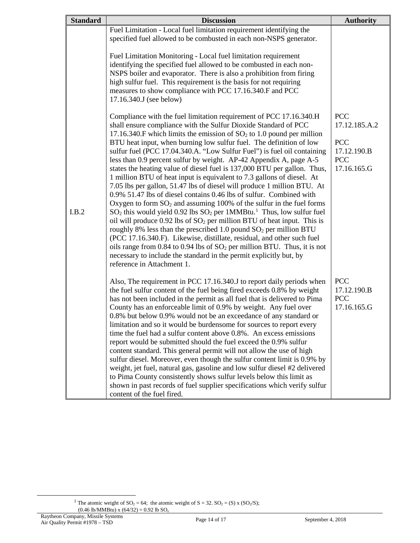| <b>Standard</b> | <b>Discussion</b>                                                                                                                                                                                                                                                                                                                                                                                                                                                                                                                                                                                                                                                                                                                                                                                                                                                                                                                                                                                                                                                                                                                                                                                                                                                                                                                        | <b>Authority</b>                                                                      |
|-----------------|------------------------------------------------------------------------------------------------------------------------------------------------------------------------------------------------------------------------------------------------------------------------------------------------------------------------------------------------------------------------------------------------------------------------------------------------------------------------------------------------------------------------------------------------------------------------------------------------------------------------------------------------------------------------------------------------------------------------------------------------------------------------------------------------------------------------------------------------------------------------------------------------------------------------------------------------------------------------------------------------------------------------------------------------------------------------------------------------------------------------------------------------------------------------------------------------------------------------------------------------------------------------------------------------------------------------------------------|---------------------------------------------------------------------------------------|
|                 | Fuel Limitation - Local fuel limitation requirement identifying the<br>specified fuel allowed to be combusted in each non-NSPS generator.                                                                                                                                                                                                                                                                                                                                                                                                                                                                                                                                                                                                                                                                                                                                                                                                                                                                                                                                                                                                                                                                                                                                                                                                |                                                                                       |
|                 | Fuel Limitation Monitoring - Local fuel limitation requirement<br>identifying the specified fuel allowed to be combusted in each non-<br>NSPS boiler and evaporator. There is also a prohibition from firing<br>high sulfur fuel. This requirement is the basis for not requiring<br>measures to show compliance with PCC 17.16.340.F and PCC<br>17.16.340.J (see below)                                                                                                                                                                                                                                                                                                                                                                                                                                                                                                                                                                                                                                                                                                                                                                                                                                                                                                                                                                 |                                                                                       |
| I.B.2           | Compliance with the fuel limitation requirement of PCC 17.16.340.H<br>shall ensure compliance with the Sulfur Dioxide Standard of PCC<br>17.16.340.F which limits the emission of $SO2$ to 1.0 pound per million<br>BTU heat input, when burning low sulfur fuel. The definition of low<br>sulfur fuel (PCC 17.04.340.A. "Low Sulfur Fuel") is fuel oil containing<br>less than 0.9 percent sulfur by weight. AP-42 Appendix A, page A-5<br>states the heating value of diesel fuel is 137,000 BTU per gallon. Thus,<br>1 million BTU of heat input is equivalent to 7.3 gallons of diesel. At<br>7.05 lbs per gallon, 51.47 lbs of diesel will produce 1 million BTU. At<br>0.9% 51.47 lbs of diesel contains 0.46 lbs of sulfur. Combined with<br>Oxygen to form $SO_2$ and assuming 100% of the sulfur in the fuel forms<br>$SO_2$ this would yield 0.92 lbs $SO_2$ per 1MMBtu. <sup>1</sup> Thus, low sulfur fuel<br>oil will produce $0.92$ lbs of $SO2$ per million BTU of heat input. This is<br>roughly 8% less than the prescribed 1.0 pound $SO2$ per million BTU<br>(PCC 17.16.340.F). Likewise, distillate, residual, and other such fuel<br>oils range from 0.84 to 0.94 lbs of $SO_2$ per million BTU. Thus, it is not<br>necessary to include the standard in the permit explicitly but, by<br>reference in Attachment 1. | <b>PCC</b><br>17.12.185.A.2<br><b>PCC</b><br>17.12.190.B<br><b>PCC</b><br>17.16.165.G |
|                 | Also, The requirement in PCC 17.16.340.J to report daily periods when<br>the fuel sulfur content of the fuel being fired exceeds 0.8% by weight<br>has not been included in the permit as all fuel that is delivered to Pima<br>County has an enforceable limit of 0.9% by weight. Any fuel over<br>0.8% but below 0.9% would not be an exceedance of any standard or<br>limitation and so it would be burdensome for sources to report every<br>time the fuel had a sulfur content above 0.8%. An excess emissions<br>report would be submitted should the fuel exceed the 0.9% sulfur<br>content standard. This general permit will not allow the use of high<br>sulfur diesel. Moreover, even though the sulfur content limit is 0.9% by<br>weight, jet fuel, natural gas, gasoline and low sulfur diesel #2 delivered<br>to Pima County consistently shows sulfur levels below this limit as<br>shown in past records of fuel supplier specifications which verify sulfur<br>content of the fuel fired.                                                                                                                                                                                                                                                                                                                              | <b>PCC</b><br>17.12.190.B<br><b>PCC</b><br>17.16.165.G                                |

<span id="page-13-0"></span><sup>&</sup>lt;sup>1</sup> The atomic weight of SO<sub>2</sub> = 64; the atomic weight of S = 32. SO<sub>2</sub> = (S) x (SO<sub>2</sub>/S);  $(0.46 \text{ lb/MMBtu}) \times (64/32) = 0.92 \text{ lb SO}_z$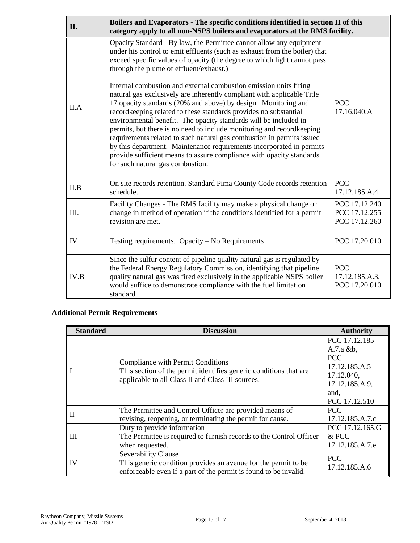| П.   | Boilers and Evaporators - The specific conditions identified in section II of this<br>category apply to all non-NSPS boilers and evaporators at the RMS facility.                                                                                                                                                                                                                                                                                                                                                                                                                                                                                                                                                                                                                                                                                                                                                                                                       |                                                 |
|------|-------------------------------------------------------------------------------------------------------------------------------------------------------------------------------------------------------------------------------------------------------------------------------------------------------------------------------------------------------------------------------------------------------------------------------------------------------------------------------------------------------------------------------------------------------------------------------------------------------------------------------------------------------------------------------------------------------------------------------------------------------------------------------------------------------------------------------------------------------------------------------------------------------------------------------------------------------------------------|-------------------------------------------------|
| II.A | Opacity Standard - By law, the Permittee cannot allow any equipment<br>under his control to emit effluents (such as exhaust from the boiler) that<br>exceed specific values of opacity (the degree to which light cannot pass<br>through the plume of effluent/exhaust.)<br>Internal combustion and external combustion emission units firing<br>natural gas exclusively are inherently compliant with applicable Title<br>17 opacity standards (20% and above) by design. Monitoring and<br>recordkeeping related to these standards provides no substantial<br>environmental benefit. The opacity standards will be included in<br>permits, but there is no need to include monitoring and recordkeeping<br>requirements related to such natural gas combustion in permits issued<br>by this department. Maintenance requirements incorporated in permits<br>provide sufficient means to assure compliance with opacity standards<br>for such natural gas combustion. | <b>PCC</b><br>17.16.040.A                       |
| II.B | On site records retention. Standard Pima County Code records retention<br>schedule.                                                                                                                                                                                                                                                                                                                                                                                                                                                                                                                                                                                                                                                                                                                                                                                                                                                                                     | <b>PCC</b><br>17.12.185.A.4                     |
| III. | Facility Changes - The RMS facility may make a physical change or<br>change in method of operation if the conditions identified for a permit<br>revision are met.                                                                                                                                                                                                                                                                                                                                                                                                                                                                                                                                                                                                                                                                                                                                                                                                       | PCC 17.12.240<br>PCC 17.12.255<br>PCC 17.12.260 |
| IV   | Testing requirements. Opacity – No Requirements                                                                                                                                                                                                                                                                                                                                                                                                                                                                                                                                                                                                                                                                                                                                                                                                                                                                                                                         | PCC 17.20.010                                   |
| IV.B | Since the sulfur content of pipeline quality natural gas is regulated by<br>the Federal Energy Regulatory Commission, identifying that pipeline<br>quality natural gas was fired exclusively in the applicable NSPS boiler<br>would suffice to demonstrate compliance with the fuel limitation<br>standard.                                                                                                                                                                                                                                                                                                                                                                                                                                                                                                                                                                                                                                                             | <b>PCC</b><br>17.12.185.A.3,<br>PCC 17.20.010   |

# **Additional Permit Requirements**

| <b>Standard</b> | <b>Discussion</b>                                                                                                                                                  | <b>Authority</b>                                                                                                     |
|-----------------|--------------------------------------------------------------------------------------------------------------------------------------------------------------------|----------------------------------------------------------------------------------------------------------------------|
|                 | <b>Compliance with Permit Conditions</b><br>This section of the permit identifies generic conditions that are<br>applicable to all Class II and Class III sources. | PCC 17.12.185<br>$A.7.a$ &b,<br><b>PCC</b><br>17.12.185.A.5<br>17.12.040,<br>17.12.185.A.9,<br>and.<br>PCC 17.12.510 |
| H               | The Permittee and Control Officer are provided means of<br>revising, reopening, or terminating the permit for cause.                                               | <b>PCC</b><br>17.12.185.A.7.c                                                                                        |
| Ш               | Duty to provide information<br>The Permittee is required to furnish records to the Control Officer<br>when requested.                                              | PCC 17.12.165.G<br>& PCC<br>17.12.185.A.7.e                                                                          |
| IV              | <b>Severability Clause</b><br>This generic condition provides an avenue for the permit to be<br>enforceable even if a part of the permit is found to be invalid.   | <b>PCC</b><br>17.12.185.A.6                                                                                          |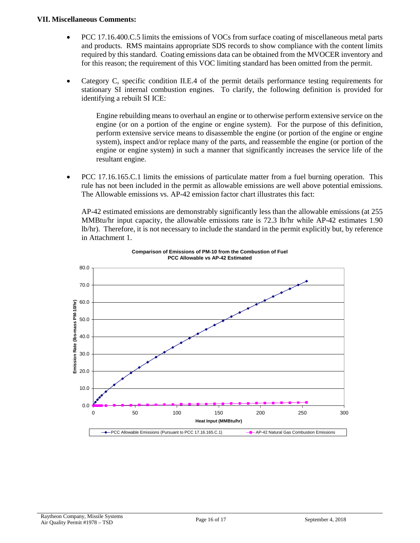#### **VII. Miscellaneous Comments:**

- PCC 17.16.400.C.5 limits the emissions of VOCs from surface coating of miscellaneous metal parts and products. RMS maintains appropriate SDS records to show compliance with the content limits required by this standard. Coating emissions data can be obtained from the MVOCER inventory and for this reason; the requirement of this VOC limiting standard has been omitted from the permit.
- Category C, specific condition II.E.4 of the permit details performance testing requirements for stationary SI internal combustion engines. To clarify, the following definition is provided for identifying a rebuilt SI ICE:

Engine rebuilding means to overhaul an engine or to otherwise perform extensive service on the engine (or on a portion of the engine or engine system). For the purpose of this definition, perform extensive service means to disassemble the engine (or portion of the engine or engine system), inspect and/or replace many of the parts, and reassemble the engine (or portion of the engine or engine system) in such a manner that significantly increases the service life of the resultant engine.

• PCC 17.16.165.C.1 limits the emissions of particulate matter from a fuel burning operation. This rule has not been included in the permit as allowable emissions are well above potential emissions. The Allowable emissions vs. AP-42 emission factor chart illustrates this fact:

AP-42 estimated emissions are demonstrably significantly less than the allowable emissions (at 255 MMBtu/hr input capacity, the allowable emissions rate is 72.3 lb/hr while AP-42 estimates 1.90 lb/hr). Therefore, it is not necessary to include the standard in the permit explicitly but, by reference in Attachment 1.



**Comparison of Emissions of PM-10 from the Combustion of Fuel PCC Allowable vs AP-42 Estimated**